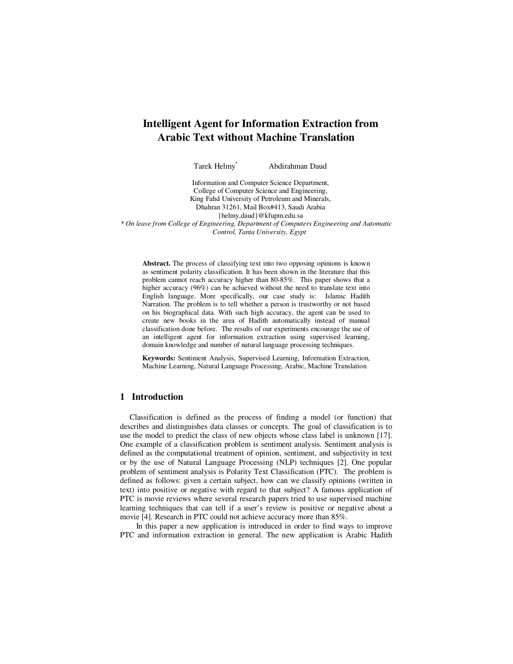# **Intelligent Agent for Information Extraction from Arabic Text without Machine Translation**

Tarek Helmy\* Abdirahman Daud

Information and Computer Science Department, College of Computer Science and Engineering, King Fahd University of Petroleum and Minerals, Dhahran 31261, Mail Box#413, Saudi Arabia {helmy,daud}@kfupm.edu.sa

*\* On leave from College of Engineering, Department of Computers Engineering and Automatic Control, Tanta University, Egypt* 

**Abstract.** The process of classifying text into two opposing opinions is known as sentiment polarity classification. It has been shown in the literature that this problem cannot reach accuracy higher than 80-85%. This paper shows that a higher accuracy (96%) can be achieved without the need to translate text into English language. More specifically, our case study is: Islamic Hadith Narration. The problem is to tell whether a person is trustworthy or not based on his biographical data. With such high accuracy, the agent can be used to create new books in the area of Hadith automatically instead of manual classification done before. The results of our experiments encourage the use of an intelligent agent for information extraction using supervised learning, domain knowledge and number of natural language processing techniques.

**Keywords:** Sentiment Analysis, Supervised Learning, Information Extraction, Machine Learning, Natural Language Processing, Arabic, Machine Translation

# **1 Introduction**

Classification is defined as the process of finding a model (or function) that describes and distinguishes data classes or concepts. The goal of classification is to use the model to predict the class of new objects whose class label is unknown [17]. One example of a classification problem is sentiment analysis. Sentiment analysis is defined as the computational treatment of opinion, sentiment, and subjectivity in text or by the use of Natural Language Processing (NLP) techniques [2]. One popular problem of sentiment analysis is Polarity Text Classification (PTC). The problem is defined as follows: given a certain subject, how can we classify opinions (written in text) into positive or negative with regard to that subject? A famous application of PTC is movie reviews where several research papers tried to use supervised machine learning techniques that can tell if a user's review is positive or negative about a movie [4]. Research in PTC could not achieve accuracy more than 85%.

 In this paper a new application is introduced in order to find ways to improve PTC and information extraction in general. The new application is Arabic Hadith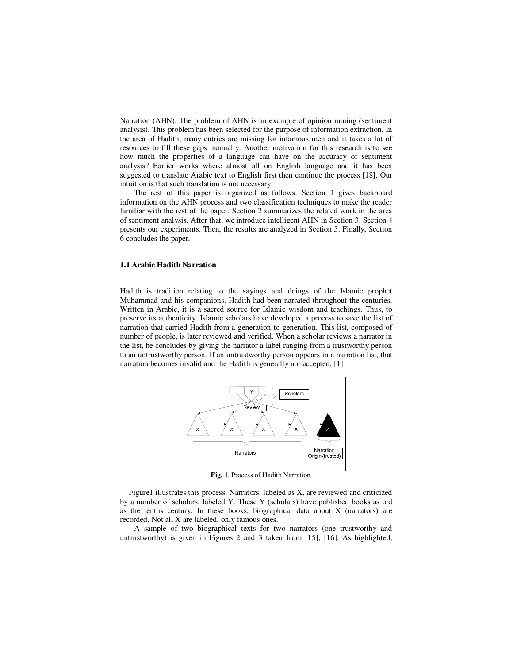Narration (AHN). The problem of AHN is an example of opinion mining (sentiment analysis). This problem has been selected for the purpose of information extraction. In the area of Hadith, many entries are missing for infamous men and it takes a lot of resources to fill these gaps manually. Another motivation for this research is to see how much the properties of a language can have on the accuracy of sentiment analysis? Earlier works where almost all on English language and it has been suggested to translate Arabic text to English first then continue the process [18]. Our intuition is that such translation is not necessary.

The rest of this paper is organized as follows. Section 1 gives backboard information on the AHN process and two classification techniques to make the reader familiar with the rest of the paper. Section 2 summarizes the related work in the area of sentiment analysis. After that, we introduce intelligent AHN in Section 3. Section 4 presents our experiments. Then, the results are analyzed in Section 5. Finally, Section 6 concludes the paper.

#### **1.1 Arabic Hadith Narration**

Hadith is tradition relating to the sayings and doings of the Islamic prophet Muhammad and his companions. Hadith had been narrated throughout the centuries. Written in Arabic, it is a sacred source for Islamic wisdom and teachings. Thus, to preserve its authenticity, Islamic scholars have developed a process to save the list of narration that carried Hadith from a generation to generation. This list, composed of number of people, is later reviewed and verified. When a scholar reviews a narrator in the list, he concludes by giving the narrator a label ranging from a trustworthy person to an untrustworthy person. If an untrustworthy person appears in a narration list, that narration becomes invalid and the Hadith is generally not accepted. [1]



**Fig. 1**. Process of Hadith Narration

Figure1 illustrates this process. Narrators, labeled as X, are reviewed and criticized by a number of scholars, labeled Y. These Y (scholars) have published books as old as the tenths century. In these books, biographical data about X (narrators) are recorded. Not all X are labeled, only famous ones.

A sample of two biographical texts for two narrators (one trustworthy and untrustworthy) is given in Figures 2 and 3 taken from [15], [16]. As highlighted,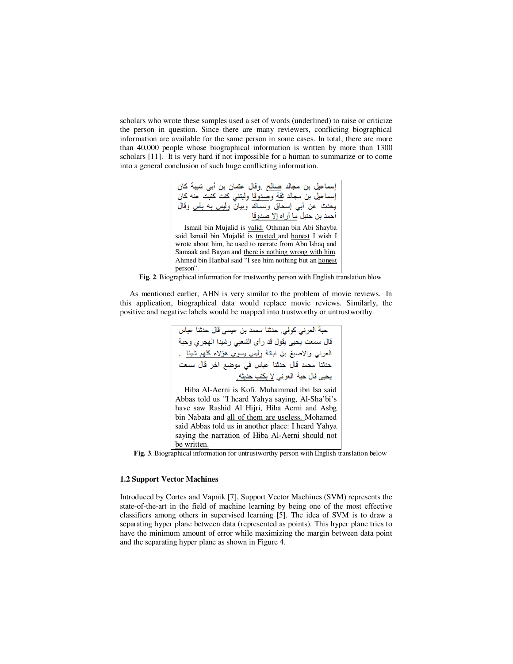scholars who wrote these samples used a set of words (underlined) to raise or criticize the person in question. Since there are many reviewers, conflicting biographical information are available for the same person in some cases. In total, there are more than 40,000 people whose biographical information is written by more than 1300 scholars [11]. It is very hard if not impossible for a human to summarize or to come into a general conclusion of such huge conflicting information.



**Fig. 2**. Biographical information for trustworthy person with English translation blow

As mentioned earlier, AHN is very similar to the problem of movie reviews. In this application, biographical data would replace movie reviews. Similarly, the positive and negative labels would be mapped into trustworthy or untrustworthy.

Hiba Al-Aerni is Kofi. Muhammad ibn Isa said Abbas told us "I heard Yahya saying, Al-Sha'bi's have saw Rashid Al Hijri, Hiba Aerni and Asbg bin Nabata and all of them are useless. Mohamed said Abbas told us in another place: I heard Yahya saying the narration of Hiba Al-Aerni should not be written.

**Fig. 3**. Biographical information for untrustworthy person with English translation below

# **1.2 Support Vector Machines**

Introduced by Cortes and Vapnik [7], Support Vector Machines (SVM) represents the state-of-the-art in the field of machine learning by being one of the most effective classifiers among others in supervised learning [5]. The idea of SVM is to draw a separating hyper plane between data (represented as points). This hyper plane tries to have the minimum amount of error while maximizing the margin between data point and the separating hyper plane as shown in Figure 4.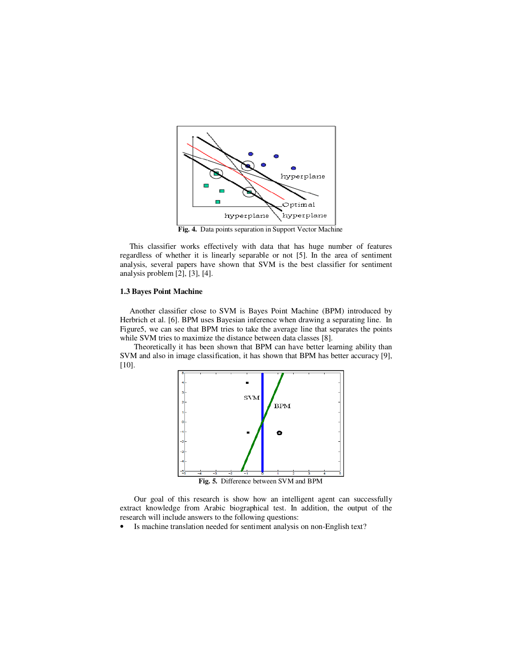

**Fig. 4.** Data points separation in Support Vector Machine

This classifier works effectively with data that has huge number of features regardless of whether it is linearly separable or not [5]. In the area of sentiment analysis, several papers have shown that SVM is the best classifier for sentiment analysis problem [2], [3], [4].

#### **1.3 Bayes Point Machine**

Another classifier close to SVM is Bayes Point Machine (BPM) introduced by Herbrich et al. [6]. BPM uses Bayesian inference when drawing a separating line. In Figure5, we can see that BPM tries to take the average line that separates the points while SVM tries to maximize the distance between data classes [8].

Theoretically it has been shown that BPM can have better learning ability than SVM and also in image classification, it has shown that BPM has better accuracy [9], [10].



Our goal of this research is show how an intelligent agent can successfully extract knowledge from Arabic biographical test. In addition, the output of the research will include answers to the following questions:

• Is machine translation needed for sentiment analysis on non-English text?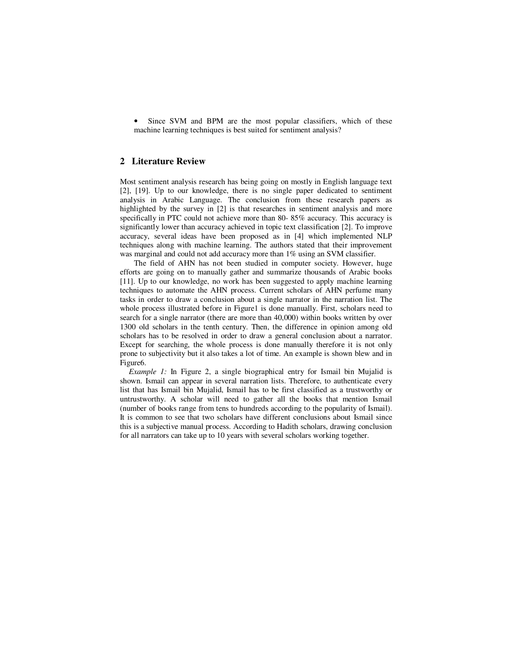• Since SVM and BPM are the most popular classifiers, which of these machine learning techniques is best suited for sentiment analysis?

# **2 Literature Review**

Most sentiment analysis research has being going on mostly in English language text [2], [19]. Up to our knowledge, there is no single paper dedicated to sentiment analysis in Arabic Language. The conclusion from these research papers as highlighted by the survey in [2] is that researches in sentiment analysis and more specifically in PTC could not achieve more than 80- 85% accuracy. This accuracy is significantly lower than accuracy achieved in topic text classification [2]. To improve accuracy, several ideas have been proposed as in [4] which implemented NLP techniques along with machine learning. The authors stated that their improvement was marginal and could not add accuracy more than 1% using an SVM classifier.

The field of AHN has not been studied in computer society. However, huge efforts are going on to manually gather and summarize thousands of Arabic books [11]. Up to our knowledge, no work has been suggested to apply machine learning techniques to automate the AHN process. Current scholars of AHN perfume many tasks in order to draw a conclusion about a single narrator in the narration list. The whole process illustrated before in Figure1 is done manually. First, scholars need to search for a single narrator (there are more than 40,000) within books written by over 1300 old scholars in the tenth century. Then, the difference in opinion among old scholars has to be resolved in order to draw a general conclusion about a narrator. Except for searching, the whole process is done manually therefore it is not only prone to subjectivity but it also takes a lot of time. An example is shown blew and in Figure6.

*Example 1:* In Figure 2, a single biographical entry for Ismail bin Mujalid is shown. Ismail can appear in several narration lists. Therefore, to authenticate every list that has Ismail bin Mujalid, Ismail has to be first classified as a trustworthy or untrustworthy. A scholar will need to gather all the books that mention Ismail (number of books range from tens to hundreds according to the popularity of Ismail). It is common to see that two scholars have different conclusions about Ismail since this is a subjective manual process. According to Hadith scholars, drawing conclusion for all narrators can take up to 10 years with several scholars working together.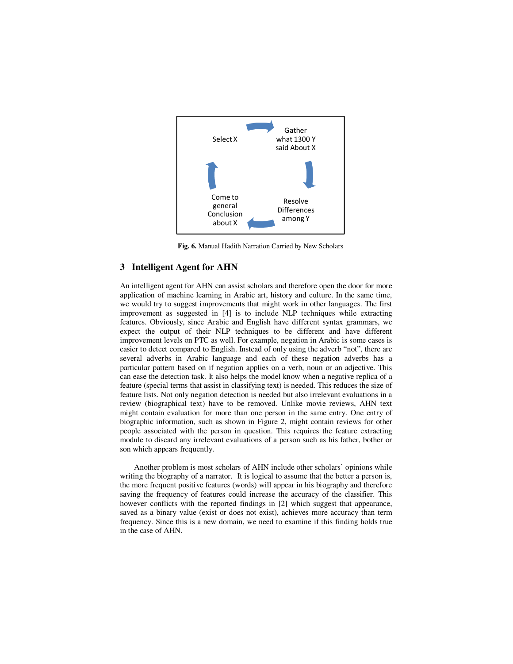

**Fig. 6.** Manual Hadith Narration Carried by New Scholars

# **3 Intelligent Agent for AHN**

An intelligent agent for AHN can assist scholars and therefore open the door for more application of machine learning in Arabic art, history and culture. In the same time, we would try to suggest improvements that might work in other languages. The first improvement as suggested in [4] is to include NLP techniques while extracting features. Obviously, since Arabic and English have different syntax grammars, we expect the output of their NLP techniques to be different and have different improvement levels on PTC as well. For example, negation in Arabic is some cases is easier to detect compared to English. Instead of only using the adverb "not", there are several adverbs in Arabic language and each of these negation adverbs has a particular pattern based on if negation applies on a verb, noun or an adjective. This can ease the detection task. It also helps the model know when a negative replica of a feature (special terms that assist in classifying text) is needed. This reduces the size of feature lists. Not only negation detection is needed but also irrelevant evaluations in a review (biographical text) have to be removed. Unlike movie reviews, AHN text might contain evaluation for more than one person in the same entry. One entry of biographic information, such as shown in Figure 2, might contain reviews for other people associated with the person in question. This requires the feature extracting module to discard any irrelevant evaluations of a person such as his father, bother or son which appears frequently.

Another problem is most scholars of AHN include other scholars' opinions while writing the biography of a narrator. It is logical to assume that the better a person is, the more frequent positive features (words) will appear in his biography and therefore saving the frequency of features could increase the accuracy of the classifier. This however conflicts with the reported findings in [2] which suggest that appearance, saved as a binary value (exist or does not exist), achieves more accuracy than term frequency. Since this is a new domain, we need to examine if this finding holds true in the case of AHN.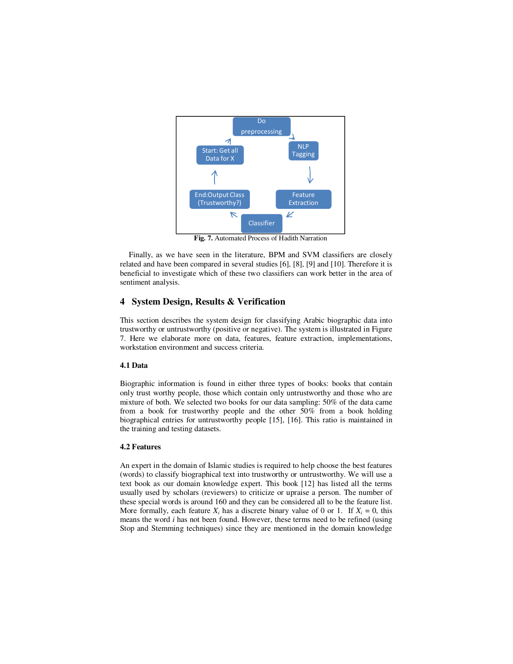

**Fig. 7.** Automated Process of Hadith Narration

Finally, as we have seen in the literature, BPM and SVM classifiers are closely related and have been compared in several studies [6], [8], [9] and [10]. Therefore it is beneficial to investigate which of these two classifiers can work better in the area of sentiment analysis.

# **4 System Design, Results & Verification**

This section describes the system design for classifying Arabic biographic data into trustworthy or untrustworthy (positive or negative). The system is illustrated in Figure 7. Here we elaborate more on data, features, feature extraction, implementations, workstation environment and success criteria.

## **4.1 Data**

Biographic information is found in either three types of books: books that contain only trust worthy people, those which contain only untrustworthy and those who are mixture of both. We selected two books for our data sampling: 50% of the data came from a book for trustworthy people and the other 50% from a book holding biographical entries for untrustworthy people [15], [16]. This ratio is maintained in the training and testing datasets.

#### **4.2 Features**

An expert in the domain of Islamic studies is required to help choose the best features (words) to classify biographical text into trustworthy or untrustworthy. We will use a text book as our domain knowledge expert. This book [12] has listed all the terms usually used by scholars (reviewers) to criticize or upraise a person. The number of these special words is around 160 and they can be considered all to be the feature list. More formally, each feature  $X_i$  has a discrete binary value of 0 or 1. If  $X_i = 0$ , this means the word *i* has not been found. However, these terms need to be refined (using Stop and Stemming techniques) since they are mentioned in the domain knowledge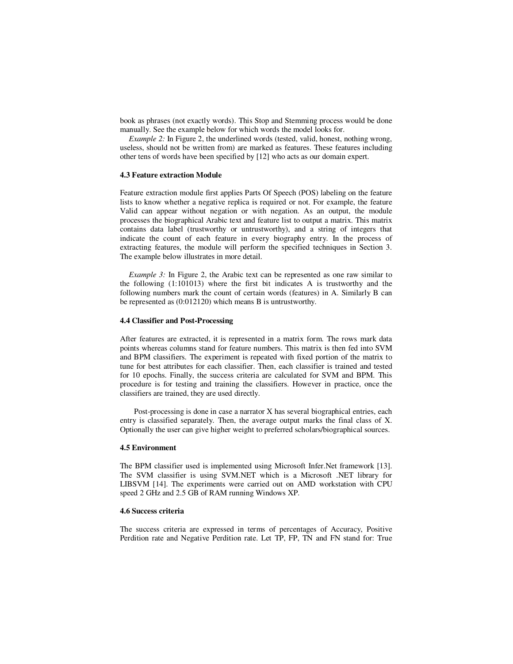book as phrases (not exactly words). This Stop and Stemming process would be done manually. See the example below for which words the model looks for.

*Example 2:* In Figure 2, the underlined words (tested, valid, honest, nothing wrong, useless, should not be written from) are marked as features. These features including other tens of words have been specified by [12] who acts as our domain expert.

#### **4.3 Feature extraction Module**

Feature extraction module first applies Parts Of Speech (POS) labeling on the feature lists to know whether a negative replica is required or not. For example, the feature Valid can appear without negation or with negation. As an output, the module processes the biographical Arabic text and feature list to output a matrix. This matrix contains data label (trustworthy or untrustworthy), and a string of integers that indicate the count of each feature in every biography entry. In the process of extracting features, the module will perform the specified techniques in Section 3. The example below illustrates in more detail.

*Example 3:* In Figure 2, the Arabic text can be represented as one raw similar to the following (1:101013) where the first bit indicates A is trustworthy and the following numbers mark the count of certain words (features) in A. Similarly B can be represented as (0:012120) which means B is untrustworthy.

#### **4.4 Classifier and Post-Processing**

After features are extracted, it is represented in a matrix form. The rows mark data points whereas columns stand for feature numbers. This matrix is then fed into SVM and BPM classifiers. The experiment is repeated with fixed portion of the matrix to tune for best attributes for each classifier. Then, each classifier is trained and tested for 10 epochs. Finally, the success criteria are calculated for SVM and BPM. This procedure is for testing and training the classifiers. However in practice, once the classifiers are trained, they are used directly.

Post-processing is done in case a narrator X has several biographical entries, each entry is classified separately. Then, the average output marks the final class of X. Optionally the user can give higher weight to preferred scholars/biographical sources.

## **4.5 Environment**

The BPM classifier used is implemented using Microsoft Infer.Net framework [13]. The SVM classifier is using SVM.NET which is a Microsoft .NET library for LIBSVM [14]. The experiments were carried out on AMD workstation with CPU speed 2 GHz and 2.5 GB of RAM running Windows XP.

#### **4.6 Success criteria**

The success criteria are expressed in terms of percentages of Accuracy, Positive Perdition rate and Negative Perdition rate. Let TP, FP, TN and FN stand for: True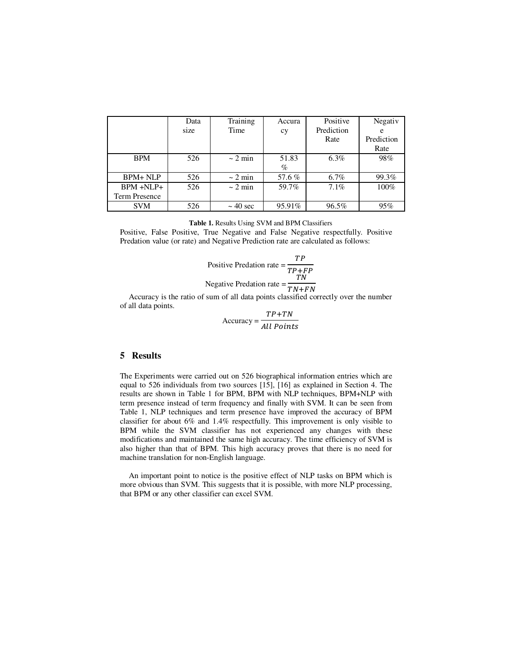|                      | Data | Training      | Accura | Positive   | Negativ    |
|----------------------|------|---------------|--------|------------|------------|
|                      | size | Time          | сy     | Prediction | e          |
|                      |      |               |        | Rate       | Prediction |
|                      |      |               |        |            | Rate       |
| <b>BPM</b>           | 526  | $\sim$ 2 min  | 51.83  | $6.3\%$    | 98%        |
|                      |      |               | $\%$   |            |            |
| $BPM + NLP$          | 526  | $\sim$ 2 min  | 57.6%  | $6.7\%$    | 99.3%      |
| $BPM + NLP+$         | 526  | $\sim$ 2 min  | 59.7%  | 7.1%       | 100%       |
| <b>Term Presence</b> |      |               |        |            |            |
| <b>SVM</b>           | 526  | $\sim$ 40 sec | 95.91% | 96.5%      | 95%        |

**Table 1.** Results Using SVM and BPM Classifiers

Positive, False Positive, True Negative and False Negative respectfully. Positive Predation value (or rate) and Negative Prediction rate are calculated as follows:

Positive Prediction rate = 
$$
\frac{TP}{TP + FP}
$$
  
Negative Prediction rate = 
$$
\frac{TN}{TN + FN}
$$

Accuracy is the ratio of sum of all data points classified correctly over the number of all data points.

Accuracy =  $TP+TN$ All Points

## **5 Results**

The Experiments were carried out on 526 biographical information entries which are equal to 526 individuals from two sources [15], [16] as explained in Section 4. The results are shown in Table 1 for BPM, BPM with NLP techniques, BPM+NLP with term presence instead of term frequency and finally with SVM. It can be seen from Table 1, NLP techniques and term presence have improved the accuracy of BPM classifier for about 6% and 1.4% respectfully. This improvement is only visible to BPM while the SVM classifier has not experienced any changes with these modifications and maintained the same high accuracy. The time efficiency of SVM is also higher than that of BPM. This high accuracy proves that there is no need for machine translation for non-English language.

An important point to notice is the positive effect of NLP tasks on BPM which is more obvious than SVM. This suggests that it is possible, with more NLP processing, that BPM or any other classifier can excel SVM.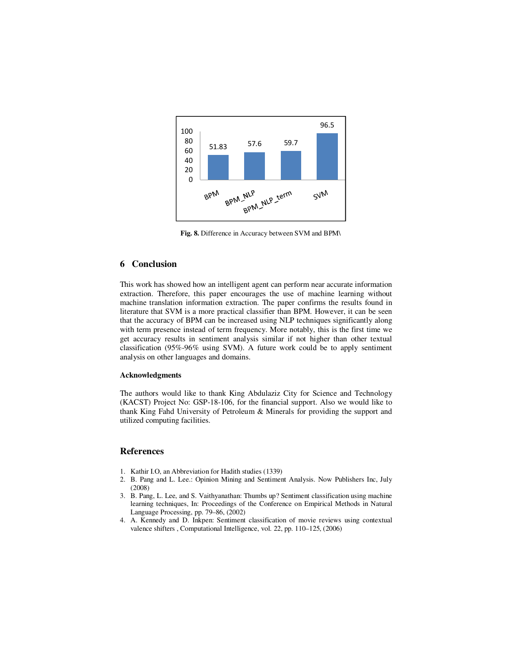

**Fig. 8.** Difference in Accuracy between SVM and BPM\

# **6 Conclusion**

This work has showed how an intelligent agent can perform near accurate information extraction. Therefore, this paper encourages the use of machine learning without machine translation information extraction. The paper confirms the results found in literature that SVM is a more practical classifier than BPM. However, it can be seen that the accuracy of BPM can be increased using NLP techniques significantly along with term presence instead of term frequency. More notably, this is the first time we get accuracy results in sentiment analysis similar if not higher than other textual classification (95%-96% using SVM). A future work could be to apply sentiment analysis on other languages and domains.

#### **Acknowledgments**

The authors would like to thank King Abdulaziz City for Science and Technology (KACST) Project No: GSP-18-106, for the financial support. Also we would like to thank King Fahd University of Petroleum & Minerals for providing the support and utilized computing facilities.

## **References**

- 1. Kathir I.O, an Abbreviation for Hadith studies (1339)
- 2. B. Pang and L. Lee.: Opinion Mining and Sentiment Analysis. Now Publishers Inc, July (2008)
- 3. B. Pang, L. Lee, and S. Vaithyanathan: Thumbs up? Sentiment classification using machine learning techniques, In: Proceedings of the Conference on Empirical Methods in Natural Language Processing, pp. 79–86, (2002)
- 4. A. Kennedy and D. Inkpen: Sentiment classification of movie reviews using contextual valence shifters , Computational Intelligence, vol. 22, pp. 110–125, (2006)